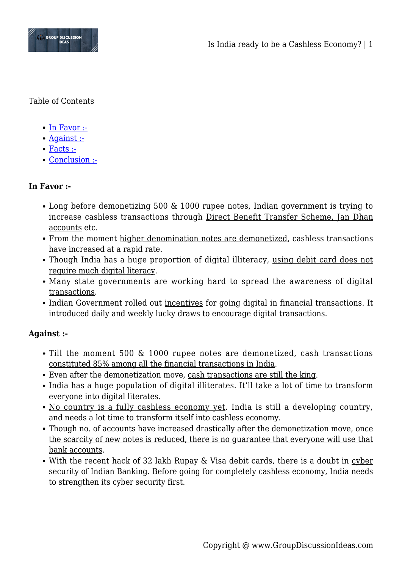

Table of Contents

- $\bullet$  [In Favor :-](#page--1-0)
- [Against :-](#page--1-0)
- [Facts :-](#page--1-0)
- [Conclusion :-](#page--1-0)

## **In Favor :-**

- Long before demonetizing 500 & 1000 rupee notes, Indian government is trying to increase cashless transactions through Direct Benefit Transfer Scheme, Jan Dhan accounts etc.
- From the moment higher denomination notes are demonetized, cashless transactions have increased at a rapid rate.
- Though India has a huge proportion of digital illiteracy, using debit card does not require much digital literacy.
- Many state governments are working hard to spread the awareness of digital transactions.
- Indian Government rolled out incentives for going digital in financial transactions. It introduced daily and weekly lucky draws to encourage digital transactions.

## **Against :-**

- Till the moment 500 & 1000 rupee notes are demonetized, cash transactions constituted 85% among all the financial transactions in India.
- Even after the demonetization move, cash transactions are still the king.
- India has a huge population of digital illiterates. It'll take a lot of time to transform everyone into digital literates.
- No country is a fully cashless economy yet. India is still a developing country, and needs a lot time to transform itself into cashless economy.
- Though no. of accounts have increased drastically after the demonetization move, once the scarcity of new notes is reduced, there is no guarantee that everyone will use that bank accounts.
- With the recent hack of 32 lakh Rupay & Visa debit cards, there is a doubt in cyber security of Indian Banking. Before going for completely cashless economy, India needs to strengthen its cyber security first.